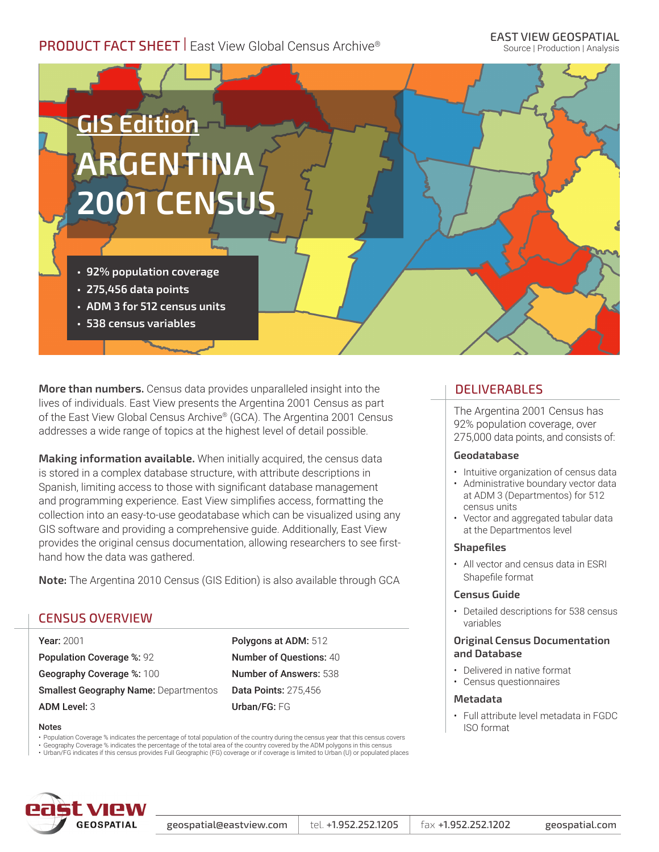# **PRODUCT FACT SHEET** | East View Global Census Archive®

Source | Production | Analysis



**More than numbers.** Census data provides unparalleled insight into the lives of individuals. East View presents the Argentina 2001 Census as part of the East View Global Census Archive® (GCA). The Argentina 2001 Census addresses a wide range of topics at the highest level of detail possible.

**Making information available.** When initially acquired, the census data is stored in a complex database structure, with attribute descriptions in Spanish, limiting access to those with significant database management and programming experience. East View simplifies access, formatting the collection into an easy-to-use geodatabase which can be visualized using any GIS software and providing a comprehensive guide. Additionally, East View provides the original census documentation, allowing researchers to see firsthand how the data was gathered.

**Note:** The Argentina 2010 Census (GIS Edition) is also available through GCA

## CENSUS OVERVIEW

Year: 2001 Population Coverage %: 92 Geography Coverage %: 100 **Smallest Geography Name: Departmentos** ADM Level: 3

Polygons at ADM: 512 Number of Questions: 40 Number of Answers: 538 Data Points: 275,456 Urban/FG: FG

#### Notes

• Population Coverage % indicates the percentage of total population of the country during the census year that this census covers

• Geography Coverage % indicates the percentage of the total area of the country covered by the ADM polygons in this census<br>• Urban/FG indicates if this census provides Full Geographic (FG) coverage or if coverage is limi



#### geospatial@eastview.com  $\vert$  tel. +1.952.252.1205  $\vert$  fax +1.952.252.1202 geospatial.com

## DELIVERABLES

The Argentina 2001 Census has 92% population coverage, over 275,000 data points, and consists of:

#### **Geodatabase**

- Intuitive organization of census data
- Administrative boundary vector data at ADM 3 (Departmentos) for 512 census units
- Vector and aggregated tabular data at the Departmentos level

#### **Shapefiles**

• All vector and census data in ESRI Shapefile format

#### **Census Guide**

• Detailed descriptions for 538 census variables

#### **Original Census Documentation and Database**

- Delivered in native format
- Census questionnaires

#### **Metadata**

• Full attribute level metadata in FGDC ISO format